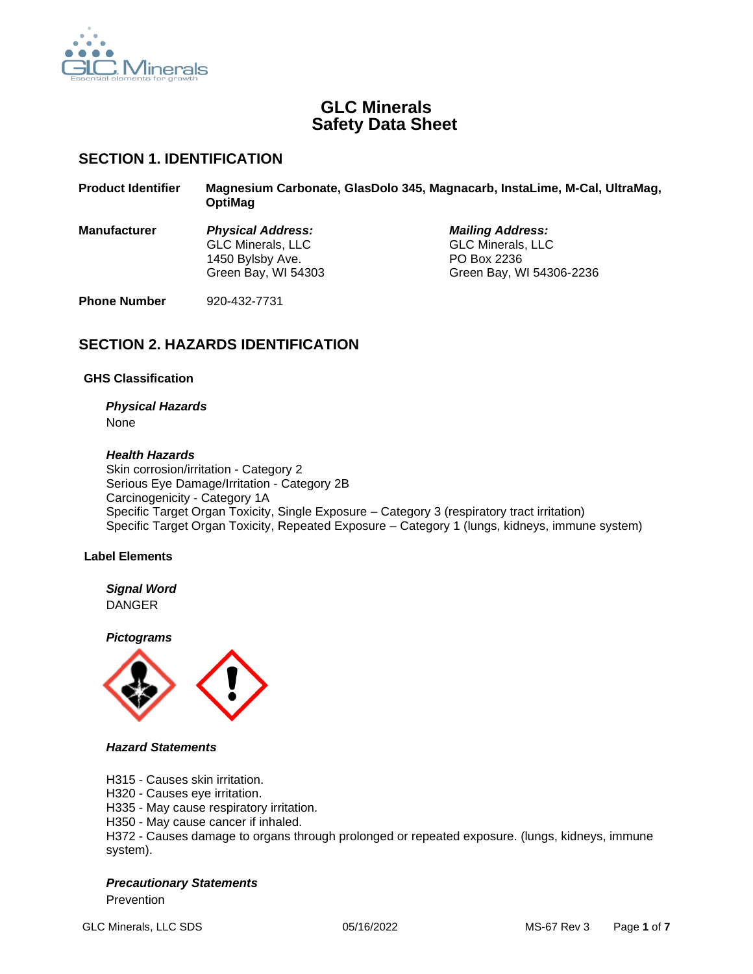

## **GLC Minerals Safety Data Sheet**

## **SECTION 1. IDENTIFICATION**

| <b>Product Identifier</b> | Magnesium Carbonate, GlasDolo 345, Magnacarb, InstaLime, M-Cal, UltraMag,<br><b>OptiMag</b> |                          |  |
|---------------------------|---------------------------------------------------------------------------------------------|--------------------------|--|
| <b>Manufacturer</b>       | <b>Physical Address:</b>                                                                    | <b>Mailing Address:</b>  |  |
|                           | <b>GLC Minerals, LLC</b>                                                                    | <b>GLC Minerals, LLC</b> |  |
|                           | 1450 Bylsby Ave.                                                                            | PO Box 2236              |  |
|                           | Green Bay, WI 54303                                                                         | Green Bay, WI 54306-2236 |  |

**Phone Number** 920-432-7731

## **SECTION 2. HAZARDS IDENTIFICATION**

## **GHS Classification**

# *Physical Hazards*

None

## *Health Hazards*

Skin corrosion/irritation - Category 2 Serious Eye Damage/Irritation - Category 2B Carcinogenicity - Category 1A Specific Target Organ Toxicity, Single Exposure – Category 3 (respiratory tract irritation) Specific Target Organ Toxicity, Repeated Exposure – Category 1 (lungs, kidneys, immune system)

## **Label Elements**

## *Signal Word* DANGER

*Pictograms*



## *Hazard Statements*

H315 - Causes skin irritation.

H320 - Causes eye irritation.

H335 - May cause respiratory irritation.

H350 - May cause cancer if inhaled.

H372 - Causes damage to organs through prolonged or repeated exposure. (lungs, kidneys, immune system).

## *Precautionary Statements*

Prevention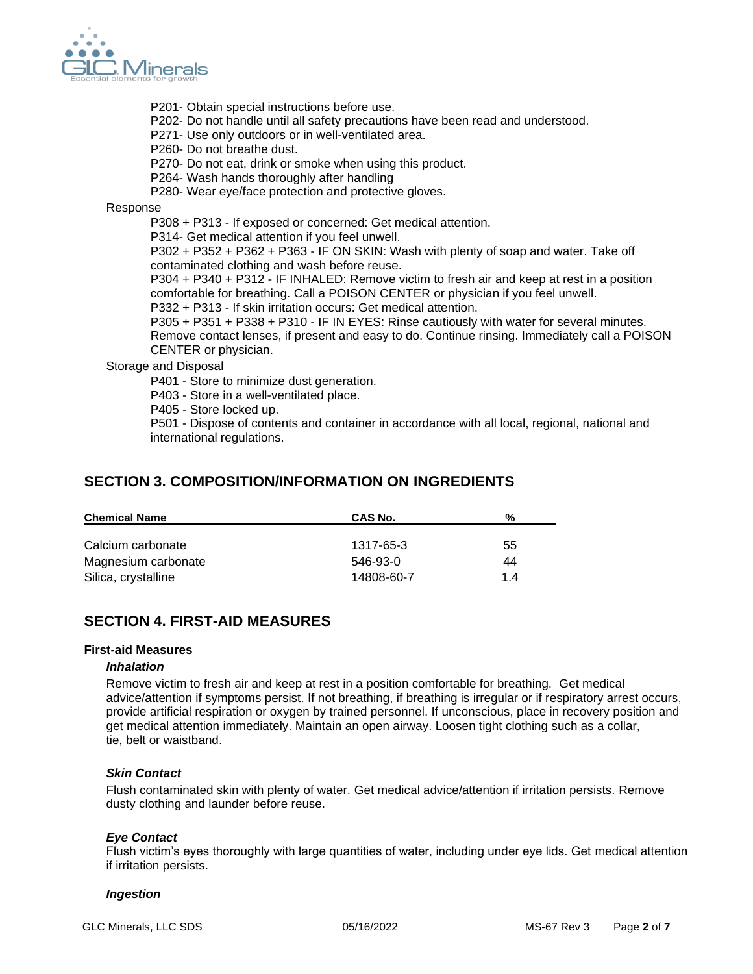

- P201- Obtain special instructions before use.
- P202- Do not handle until all safety precautions have been read and understood.
- P271- Use only outdoors or in well-ventilated area.
- P260- Do not breathe dust.
- P270- Do not eat, drink or smoke when using this product.
- P264- Wash hands thoroughly after handling
- P280- Wear eye/face protection and protective gloves.

Response

P308 + P313 - If exposed or concerned: Get medical attention.

P314- Get medical attention if you feel unwell.

P302 + P352 + P362 + P363 - IF ON SKIN: Wash with plenty of soap and water. Take off contaminated clothing and wash before reuse.

P304 + P340 + P312 - IF INHALED: Remove victim to fresh air and keep at rest in a position comfortable for breathing. Call a POISON CENTER or physician if you feel unwell.

P332 + P313 - If skin irritation occurs: Get medical attention.

P305 + P351 + P338 + P310 - IF IN EYES: Rinse cautiously with water for several minutes. Remove contact lenses, if present and easy to do. Continue rinsing. Immediately call a POISON CENTER or physician.

Storage and Disposal

P401 - Store to minimize dust generation.

P403 - Store in a well-ventilated place.

P405 - Store locked up.

P501 - Dispose of contents and container in accordance with all local, regional, national and international regulations.

## **SECTION 3. COMPOSITION/INFORMATION ON INGREDIENTS**

| <b>Chemical Name</b> | CAS No.    | %   |
|----------------------|------------|-----|
|                      |            |     |
| Calcium carbonate    | 1317-65-3  | 55  |
| Magnesium carbonate  | 546-93-0   | 44  |
| Silica, crystalline  | 14808-60-7 | 1.4 |

## **SECTION 4. FIRST-AID MEASURES**

#### **First-aid Measures**

#### *Inhalation*

Remove victim to fresh air and keep at rest in a position comfortable for breathing. Get medical advice/attention if symptoms persist. If not breathing, if breathing is irregular or if respiratory arrest occurs, provide artificial respiration or oxygen by trained personnel. If unconscious, place in recovery position and get medical attention immediately. Maintain an open airway. Loosen tight clothing such as a collar, tie, belt or waistband.

## *Skin Contact*

Flush contaminated skin with plenty of water. Get medical advice/attention if irritation persists. Remove dusty clothing and launder before reuse.

## *Eye Contact*

Flush victim's eyes thoroughly with large quantities of water, including under eye lids. Get medical attention if irritation persists.

## *Ingestion*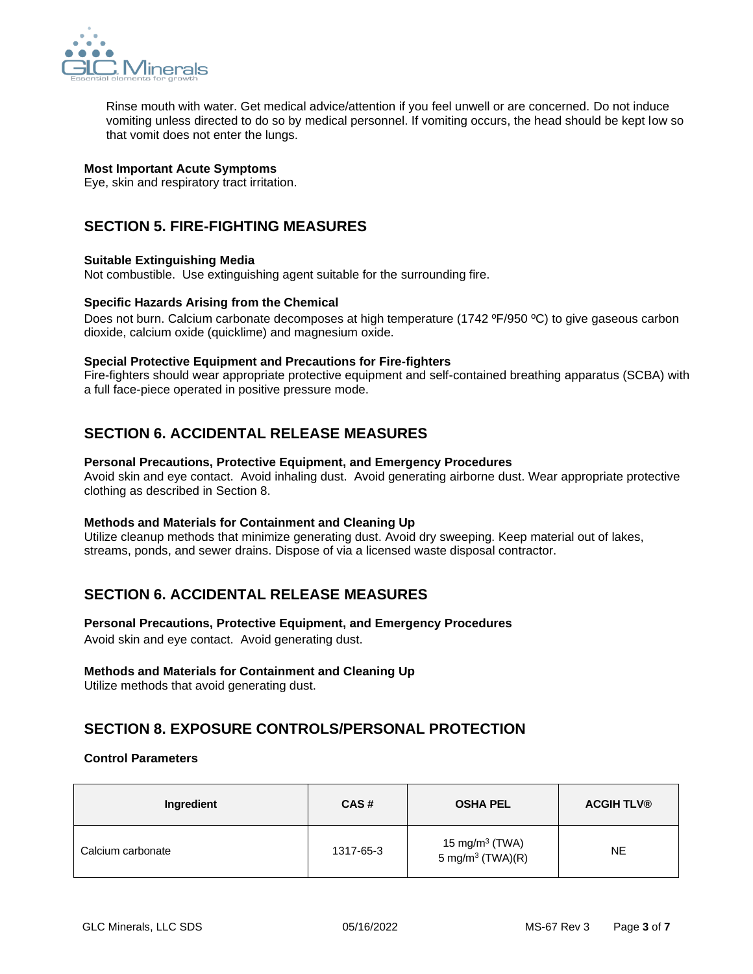

Rinse mouth with water. Get medical advice/attention if you feel unwell or are concerned. Do not induce vomiting unless directed to do so by medical personnel. If vomiting occurs, the head should be kept low so that vomit does not enter the lungs.

## **Most Important Acute Symptoms**

Eye, skin and respiratory tract irritation.

## **SECTION 5. FIRE-FIGHTING MEASURES**

## **Suitable Extinguishing Media**

Not combustible. Use extinguishing agent suitable for the surrounding fire.

## **Specific Hazards Arising from the Chemical**

Does not burn. Calcium carbonate decomposes at high temperature (1742 ºF/950 ºC) to give gaseous carbon dioxide, calcium oxide (quicklime) and magnesium oxide.

#### **Special Protective Equipment and Precautions for Fire-fighters**

Fire-fighters should wear appropriate protective equipment and self-contained breathing apparatus (SCBA) with a full face-piece operated in positive pressure mode.

## **SECTION 6. ACCIDENTAL RELEASE MEASURES**

#### **Personal Precautions, Protective Equipment, and Emergency Procedures**

Avoid skin and eye contact. Avoid inhaling dust. Avoid generating airborne dust. Wear appropriate protective clothing as described in Section 8.

#### **Methods and Materials for Containment and Cleaning Up**

Utilize cleanup methods that minimize generating dust. Avoid dry sweeping. Keep material out of lakes, streams, ponds, and sewer drains. Dispose of via a licensed waste disposal contractor.

## **SECTION 6. ACCIDENTAL RELEASE MEASURES**

## **Personal Precautions, Protective Equipment, and Emergency Procedures**

Avoid skin and eye contact. Avoid generating dust.

## **Methods and Materials for Containment and Cleaning Up**

Utilize methods that avoid generating dust.

## **SECTION 8. EXPOSURE CONTROLS/PERSONAL PROTECTION**

## **Control Parameters**

| Ingredient        | CAS#      | <b>OSHA PEL</b>                                   | <b>ACGIH TLV®</b> |
|-------------------|-----------|---------------------------------------------------|-------------------|
| Calcium carbonate | 1317-65-3 | 15 mg/m $3$ (TWA)<br>5 mg/m <sup>3</sup> (TWA)(R) | NE.               |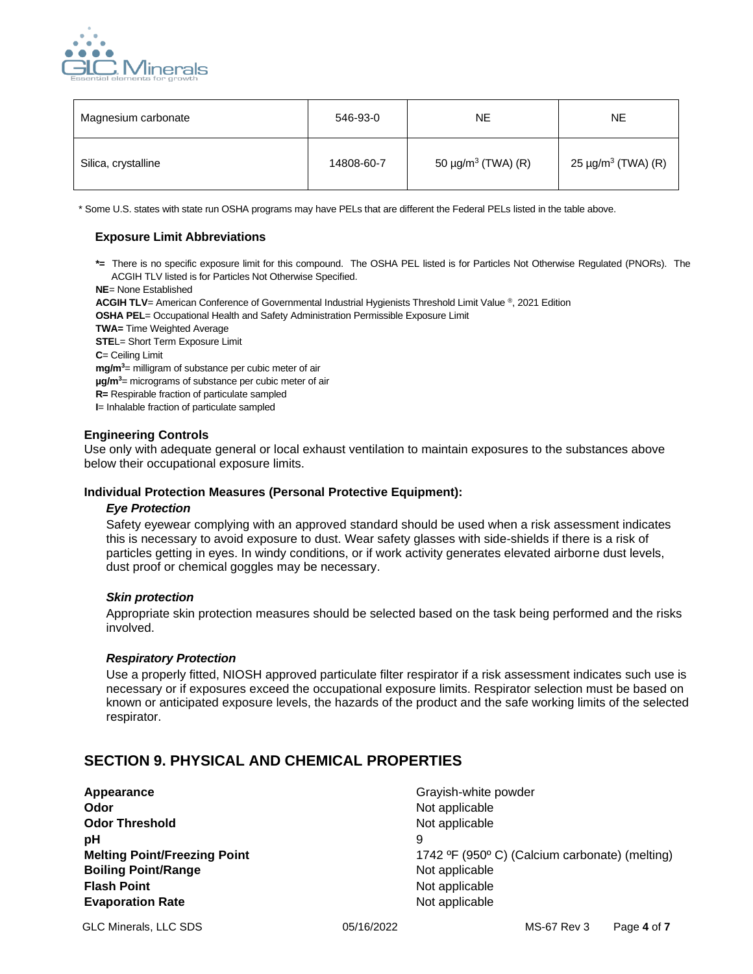

| Magnesium carbonate | 546-93-0   | <b>NE</b>                           | NE.                                 |
|---------------------|------------|-------------------------------------|-------------------------------------|
| Silica, crystalline | 14808-60-7 | 50 $\mu$ g/m <sup>3</sup> (TWA) (R) | 25 $\mu$ g/m <sup>3</sup> (TWA) (R) |

\* Some U.S. states with state run OSHA programs may have PELs that are different the Federal PELs listed in the table above.

### **Exposure Limit Abbreviations**

**\*=** There is no specific exposure limit for this compound. The OSHA PEL listed is for Particles Not Otherwise Regulated (PNORs). The ACGIH TLV listed is for Particles Not Otherwise Specified.

**NE**= None Established

**ACGIH TLV**= American Conference of Governmental Industrial Hygienists Threshold Limit Value ® , 2021 Edition

**OSHA PEL**= Occupational Health and Safety Administration Permissible Exposure Limit

**TWA=** Time Weighted Average **STEL= Short Term Exposure Limit C**= Ceiling Limit

**mg/m<sup>3</sup>**= milligram of substance per cubic meter of air

**µg/m<sup>3</sup>**= micrograms of substance per cubic meter of air

**R=** Respirable fraction of particulate sampled

**I**= Inhalable fraction of particulate sampled

#### **Engineering Controls**

Use only with adequate general or local exhaust ventilation to maintain exposures to the substances above below their occupational exposure limits.

#### **Individual Protection Measures (Personal Protective Equipment):**

#### *Eye Protection*

Safety eyewear complying with an approved standard should be used when a risk assessment indicates this is necessary to avoid exposure to dust. Wear safety glasses with side-shields if there is a risk of particles getting in eyes. In windy conditions, or if work activity generates elevated airborne dust levels, dust proof or chemical goggles may be necessary.

#### *Skin protection*

Appropriate skin protection measures should be selected based on the task being performed and the risks involved.

#### *Respiratory Protection*

Use a properly fitted, NIOSH approved particulate filter respirator if a risk assessment indicates such use is necessary or if exposures exceed the occupational exposure limits. Respirator selection must be based on known or anticipated exposure levels, the hazards of the product and the safe working limits of the selected respirator.

## **SECTION 9. PHYSICAL AND CHEMICAL PROPERTIES**

**Appearance Grayish-white powder Grayish-white powder Odor** Not applicable **Not applicable Odor Threshold** Not applicable **pH** 9 **Boiling Point/Range Not applicable** Not applicable **Flash Point** Not applicable **Evaporation Rate Not applicable** Not applicable

**Melting Point/Freezing Point** 1742 °F (950° C) (Calcium carbonate) (melting)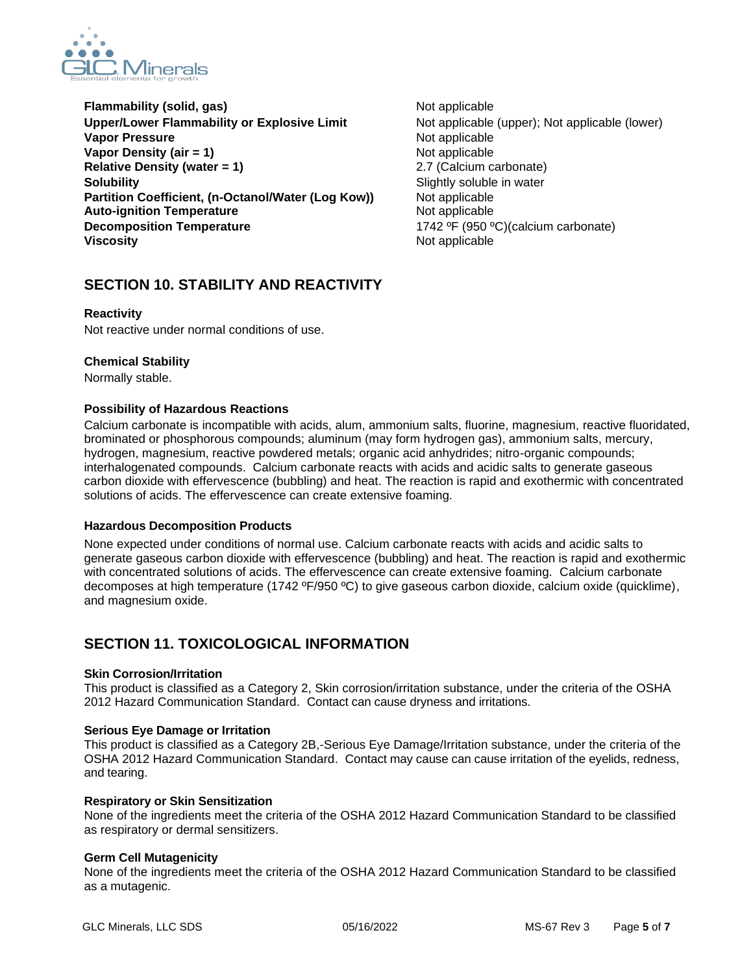

- **Flammability (solid, gas)** Not applicable **Upper/Lower Flammability or Explosive Limit** Not applicable (upper); Not applicable (lower) **Vapor Pressure** Not applicable **Vapor Density (air = 1)** Not applicable **Relative Density (water = 1)** 2.7 (Calcium carbonate) **Solubility** Soluble in water **Partition Coefficient, (n-Octanol/Water (Log Kow))** Not applicable **Auto-ignition Temperature** Not applicable **Decomposition Temperature** 1742 °F (950 °C)(calcium carbonate) **Viscosity Not applicable** Not applicable
	-

## **SECTION 10. STABILITY AND REACTIVITY**

## **Reactivity**

Not reactive under normal conditions of use.

## **Chemical Stability**

Normally stable.

## **Possibility of Hazardous Reactions**

Calcium carbonate is incompatible with acids, alum, ammonium salts, fluorine, magnesium, reactive fluoridated, brominated or phosphorous compounds; aluminum (may form hydrogen gas), ammonium salts, mercury, hydrogen, magnesium, reactive powdered metals; organic acid anhydrides; nitro-organic compounds; interhalogenated compounds. Calcium carbonate reacts with acids and acidic salts to generate gaseous carbon dioxide with effervescence (bubbling) and heat. The reaction is rapid and exothermic with concentrated solutions of acids. The effervescence can create extensive foaming.

## **Hazardous Decomposition Products**

None expected under conditions of normal use. Calcium carbonate reacts with acids and acidic salts to generate gaseous carbon dioxide with effervescence (bubbling) and heat. The reaction is rapid and exothermic with concentrated solutions of acids. The effervescence can create extensive foaming. Calcium carbonate decomposes at high temperature (1742 ºF/950 ºC) to give gaseous carbon dioxide, calcium oxide (quicklime), and magnesium oxide.

## **SECTION 11. TOXICOLOGICAL INFORMATION**

## **Skin Corrosion/Irritation**

This product is classified as a Category 2, Skin corrosion/irritation substance, under the criteria of the OSHA 2012 Hazard Communication Standard. Contact can cause dryness and irritations.

## **Serious Eye Damage or Irritation**

This product is classified as a Category 2B,-Serious Eye Damage/Irritation substance, under the criteria of the OSHA 2012 Hazard Communication Standard. Contact may cause can cause irritation of the eyelids, redness, and tearing.

## **Respiratory or Skin Sensitization**

None of the ingredients meet the criteria of the OSHA 2012 Hazard Communication Standard to be classified as respiratory or dermal sensitizers.

## **Germ Cell Mutagenicity**

None of the ingredients meet the criteria of the OSHA 2012 Hazard Communication Standard to be classified as a mutagenic.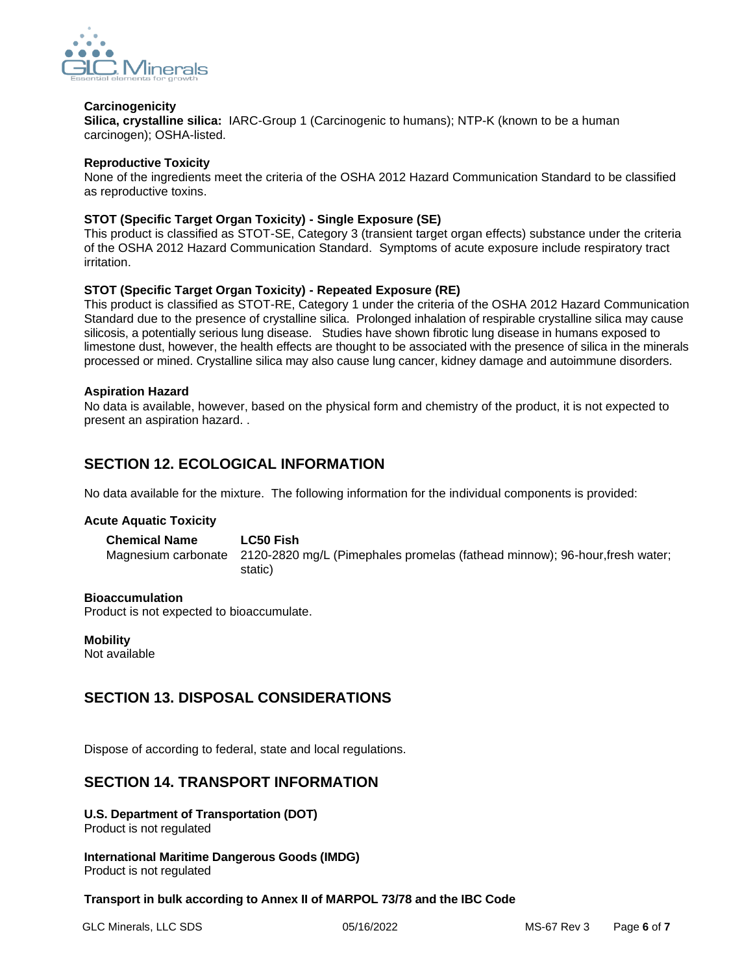

### **Carcinogenicity**

**Silica, crystalline silica:** IARC-Group 1 (Carcinogenic to humans); NTP-K (known to be a human carcinogen); OSHA-listed.

#### **Reproductive Toxicity**

None of the ingredients meet the criteria of the OSHA 2012 Hazard Communication Standard to be classified as reproductive toxins.

### **STOT (Specific Target Organ Toxicity) - Single Exposure (SE)**

This product is classified as STOT-SE, Category 3 (transient target organ effects) substance under the criteria of the OSHA 2012 Hazard Communication Standard. Symptoms of acute exposure include respiratory tract irritation.

## **STOT (Specific Target Organ Toxicity) - Repeated Exposure (RE)**

This product is classified as STOT-RE, Category 1 under the criteria of the OSHA 2012 Hazard Communication Standard due to the presence of crystalline silica. Prolonged inhalation of respirable crystalline silica may cause silicosis, a potentially serious lung disease. Studies have shown fibrotic lung disease in humans exposed to limestone dust, however, the health effects are thought to be associated with the presence of silica in the minerals processed or mined. Crystalline silica may also cause lung cancer, kidney damage and autoimmune disorders.

#### **Aspiration Hazard**

No data is available, however, based on the physical form and chemistry of the product, it is not expected to present an aspiration hazard. .

## **SECTION 12. ECOLOGICAL INFORMATION**

No data available for the mixture. The following information for the individual components is provided:

#### **Acute Aquatic Toxicity**

**Chemical Name LC50 Fish**  Magnesium carbonate 2120-2820 mg/L (Pimephales promelas (fathead minnow); 96-hour,fresh water; static)

#### **Bioaccumulation**

Product is not expected to bioaccumulate.

**Mobility** Not available

## **SECTION 13. DISPOSAL CONSIDERATIONS**

Dispose of according to federal, state and local regulations.

## **SECTION 14. TRANSPORT INFORMATION**

**U.S. Department of Transportation (DOT)**  Product is not regulated

**International Maritime Dangerous Goods (IMDG)** Product is not regulated

#### **Transport in bulk according to Annex II of MARPOL 73/78 and the IBC Code**